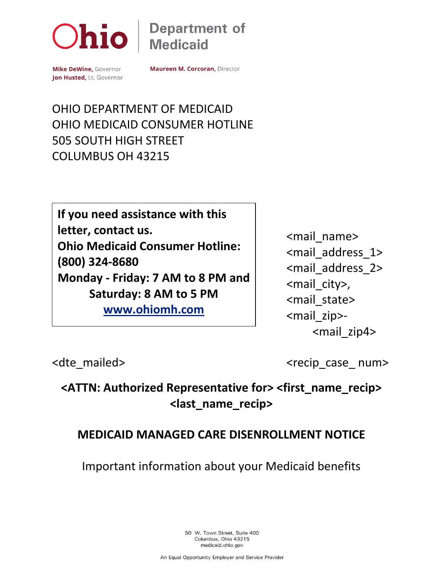

**Department of Medicaid** 

Mike DeWine, Governor Jon Husted, Lt. Governor **Maureen M. Corcoran, Director** 

OHIO DEPARTMENT OF MEDICAID OHIO MEDICAID CONSUMER HOTLINE 505 SOUTH HIGH STREET COLUMBUS OH 43215

**If you need assistance with this letter, contact us. Ohio Medicaid Consumer Hotline: (800) 324-8680 Monday - Friday: 7 AM to 8 PM and Saturday: 8 AM to 5 PM [www.ohiomh.com](http://www.ohiomh.com/)**

<mail\_name> <mail\_address\_1> <mail\_address\_2> <mail\_city>, <mail\_state> <mail\_zip>- <mail\_zip4>

<dte mailed>
<dte mailed>
<dte mailed>
<dte mailed>
<dte mailed>
<dte mailed>
<dte mailed>
<dte mailed>
<dte mailed>
<dte mailed>
<dte mailed>
<dte mailed>
<dte mailed>
<dte mailed>
<dte mailed>
<dte mailed>
<dte mailed>
<

**<ATTN: Authorized Representative for> <first\_name\_recip> <last\_name\_recip>**

#### **MEDICAID MANAGED CARE DISENROLLMENT NOTICE**

Important information about your Medicaid benefits

50 W. Town Street, Suite 400 Columbus, Ohio 43215 medicaid.ohio.gov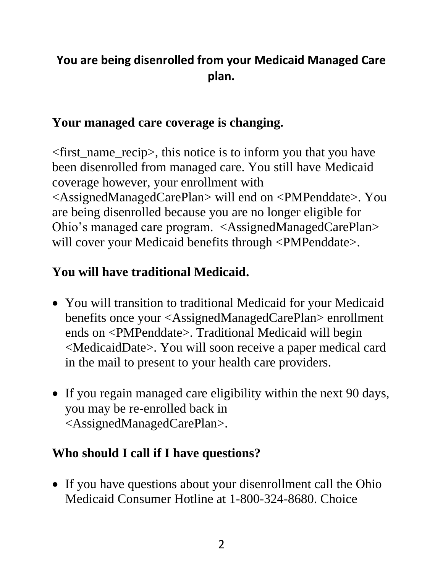## **You are being disenrolled from your Medicaid Managed Care plan.**

### **Your managed care coverage is changing.**

<first\_name\_recip>, this notice is to inform you that you have been disenrolled from managed care. You still have Medicaid coverage however, your enrollment with <AssignedManagedCarePlan> will end on <PMPenddate>. You are being disenrolled because you are no longer eligible for Ohio's managed care program. <AssignedManagedCarePlan> will cover your Medicaid benefits through <PMPenddate>.

# **You will have traditional Medicaid.**

- You will transition to traditional Medicaid for your Medicaid benefits once your <AssignedManagedCarePlan> enrollment ends on <PMPenddate>. Traditional Medicaid will begin <MedicaidDate>. You will soon receive a paper medical card in the mail to present to your health care providers.
- If you regain managed care eligibility within the next 90 days, you may be re-enrolled back in <AssignedManagedCarePlan>.

### **Who should I call if I have questions?**

• If you have questions about your disenrollment call the Ohio Medicaid Consumer Hotline at 1-800-324-8680. Choice